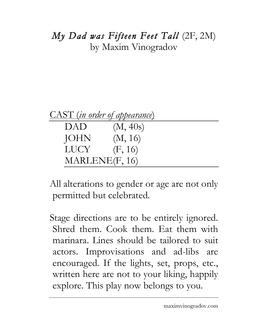## *My Dad was Fifteen Feet Tall* (2F, 2M) by Maxim Vinogradov

|  |  | CAST (in order of appearance) |
|--|--|-------------------------------|
|  |  |                               |
|  |  |                               |

| DAD              | (M, 40s) |
|------------------|----------|
| JOHN             | (M, 16)  |
| LUCY <b>LUCY</b> | (F, 16)  |
| MARLENE(F, 16)   |          |

All alterations to gender or age are not only permitted but celebrated.

Stage directions are to be entirely ignored. Shred them. Cook them. Eat them with marinara. Lines should be tailored to suit actors. Improvisations and ad-libs are encouraged. If the lights, set, props, etc., written here are not to your liking, happily explore. This play now belongs to you.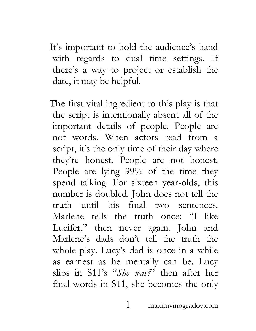It's important to hold the audience's hand with regards to dual time settings. If there's a way to project or establish the date, it may be helpful.

The first vital ingredient to this play is that the script is intentionally absent all of the important details of people. People are not words. When actors read from a script, it's the only time of their day where they're honest. People are not honest. People are lying 99% of the time they spend talking. For sixteen year-olds, this number is doubled. John does not tell the truth until his final two sentences. Marlene tells the truth once: "I like Lucifer, " then never again. John and Marlene's dads don't tell the truth the whole play. Lucy's dad is once in a while as earnest as he mentally can be. Lucy slips in S11's "*She was?*" then after her final words in S11, she becomes the only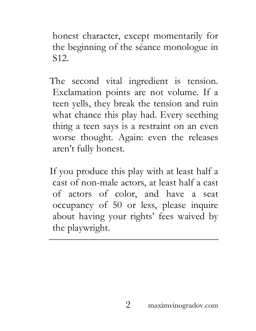honest character, except momentarily for the beginning of the séance monologue in S12.

- The second vital ingredient is tension. Exclamation points are not volume. If a teen yells, they break the tension and ruin what chance this play had. Every seething thing a teen says is a restraint on an even worse thought. Again: even the releases aren't fully honest.
- If you produce this play with at least half a cast of non-male actors, at least half a cast of actors of color, and have a seat occupancy of 50 or less, please inquire about having your rights' fees waived by the playwright.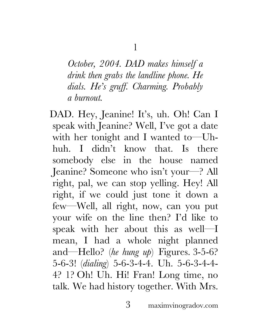*October, 2004. DAD makes himself a drink then grabs the landline phone. He dials. He's gruff. Charming. Probably a burnout.*

DAD. Hey, Jeanine! It's, uh. Oh! Can I speak with Jeanine? Well, I've got a date with her tonight and I wanted to—Uhhuh. I didn't know that. Is there somebody else in the house named Jeanine? Someone who isn't your—? All right, pal, we can stop yelling. Hey! All right, if we could just tone it down a few—Well, all right, now, can you put your wife on the line then? I'd like to speak with her about this as well—I mean, I had a whole night planned and—Hello? (*he hung up*) Figures. 3-5-6? 5-6-3! (*dialing*) 5-6-3-4-4. Uh. 5-6-3-4-4- 4? 1? Oh! Uh. Hi! Fran! Long time, no talk. We had history together. With Mrs.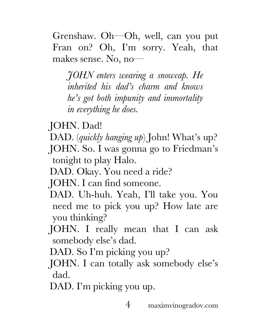Grenshaw. Oh—Oh, well, can you put Fran on? Oh, I'm sorry. Yeah, that makes sense. No, no—

*JOHN enters wearing a snowcap. He inherited his dad's charm and knows he's got both impunity and immortality in everything he does.* 

JOHN. Dad!

- DAD. (*quickly hanging up*) John! What's up?
- JOHN. So. I was gonna go to Friedman's tonight to play Halo.
- DAD. Okay. You need a ride?
- JOHN. I can find someone.
- DAD. Uh-huh. Yeah, I'll take you. You need me to pick you up? How late are you thinking?
- JOHN. I really mean that I can ask somebody else's dad.

DAD. So I'm picking you up?

- JOHN. I can totally ask somebody else's dad.
- DAD. I'm picking you up.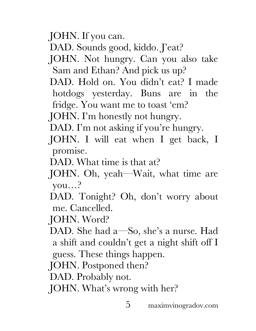JOHN. If you can.

DAD. Sounds good, kiddo. J'eat?

JOHN. Not hungry. Can you also take Sam and Ethan? And pick us up?

DAD. Hold on. You didn't eat? I made hotdogs yesterday. Buns are in the fridge. You want me to toast 'em?

JOHN. I'm honestly not hungry.

- DAD. I'm not asking if you're hungry.
- JOHN. I will eat when I get back, I promise.
- DAD. What time is that at?
- JOHN. Oh, yeah—Wait, what time are you…?
- DAD. Tonight? Oh, don't worry about me. Cancelled.

JOHN. Word?

DAD. She had a—So, she's a nurse. Had a shift and couldn't get a night shift off I guess. These things happen.

JOHN. Postponed then?

DAD. Probably not.

JOHN. What's wrong with her?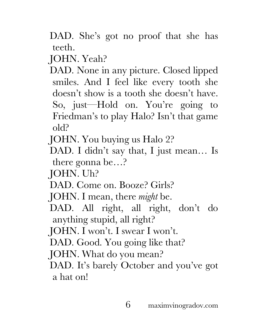DAD. She's got no proof that she has teeth.

JOHN. Yeah?

DAD. None in any picture. Closed lipped smiles. And I feel like every tooth she doesn't show is a tooth she doesn't have. So, just—Hold on. You're going to Friedman's to play Halo? Isn't that game old?

JOHN. You buying us Halo 2?

DAD. I didn't say that, I just mean… Is there gonna be…?

JOHN. Uh?

DAD. Come on. Booze? Girls?

JOHN. I mean, there *might* be.

DAD. All right, all right, don't do anything stupid, all right?

JOHN. I won't. I swear I won't.

DAD. Good. You going like that?

JOHN. What do you mean?

DAD. It's barely October and you've got a hat on!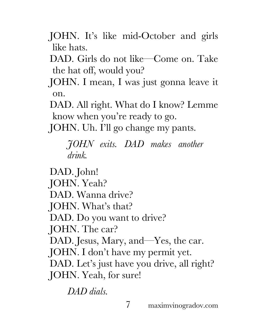- JOHN. It's like mid-October and girls like hats.
- DAD. Girls do not like—Come on. Take the hat off, would you?
- JOHN. I mean, I was just gonna leave it on.

DAD. All right. What do I know? Lemme know when you're ready to go.

JOHN. Uh. I'll go change my pants.

*JOHN exits. DAD makes another drink.*

DAD. John! JOHN. Yeah? DAD. Wanna drive? JOHN. What's that? DAD. Do you want to drive? JOHN. The car? DAD. Jesus, Mary, and—Yes, the car. JOHN. I don't have my permit yet. DAD. Let's just have you drive, all right? JOHN. Yeah, for sure!

*DAD dials.*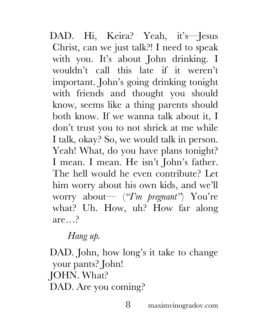DAD. Hi, Keira? Yeah, it's—Jesus Christ, can we just talk?! I need to speak with you. It's about John drinking. I wouldn't call this late if it weren't important. John's going drinking tonight with friends and thought you should know, seems like a thing parents should both know. If we wanna talk about it, I don't trust you to not shriek at me while I talk, okay? So, we would talk in person. Yeah! What, do you have plans tonight? I mean. I mean. He isn't John's father. The hell would he even contribute? Let him worry about his own kids, and we'll worry about— (*"I'm pregnant"*) You're what? Uh. How, uh? How far along are…?

*Hang up.*

DAD. John, how long's it take to change your pants? John! JOHN. What? DAD. Are you coming?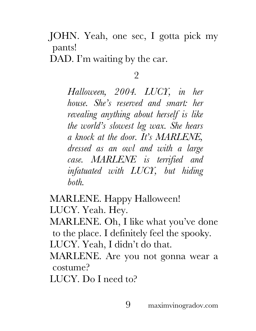JOHN. Yeah, one sec, I gotta pick my pants!

DAD. I'm waiting by the car.

## 2

*Halloween, 2004. LUCY, in her house. She's reserved and smart: her revealing anything about herself is like the world's slowest leg wax. She hears a knock at the door. It's MARLENE, dressed as an owl and with a large case. MARLENE is terrified and infatuated with LUCY, but hiding both.*

MARLENE. Happy Halloween! LUCY. Yeah. Hey.

MARLENE. Oh, I like what you've done to the place. I definitely feel the spooky. LUCY. Yeah, I didn't do that.

MARLENE. Are you not gonna wear a costume?

LUCY. Do I need to?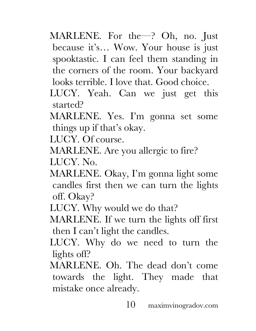- MARLENE. For the—? Oh, no. Just because it's… Wow. Your house is just spooktastic. I can feel them standing in the corners of the room. Your backyard looks terrible. I love that. Good choice.
- LUCY. Yeah. Can we just get this started?
- MARLENE. Yes. I'm gonna set some things up if that's okay.

LUCY. Of course.

MARLENE. Are you allergic to fire?

LUCY. No.

MARLENE. Okay, I'm gonna light some candles first then we can turn the lights off. Okay?

LUCY. Why would we do that?

MARLENE. If we turn the lights off first then I can't light the candles.

- LUCY. Why do we need to turn the lights off?
- MARLENE. Oh. The dead don't come towards the light. They made that mistake once already.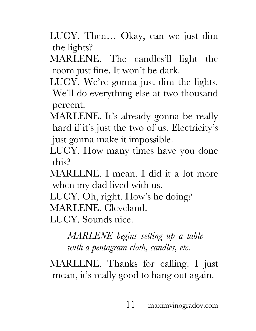LUCY. Then… Okay, can we just dim the lights?

MARLENE. The candles'll light the room just fine. It won't be dark.

- LUCY. We're gonna just dim the lights. We'll do everything else at two thousand percent.
- MARLENE. It's already gonna be really hard if it's just the two of us. Electricity's just gonna make it impossible.
- LUCY. How many times have you done this?
- MARLENE. I mean. I did it a lot more when my dad lived with us.
- LUCY. Oh, right. How's he doing?

MARLENE. Cleveland.

LUCY. Sounds nice.

*MARLENE begins setting up a table with a pentagram cloth, candles, etc.*

MARLENE. Thanks for calling. I just mean, it's really good to hang out again.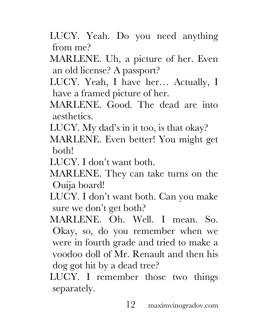- LUCY. Yeah. Do you need anything from me?
- MARLENE. Uh, a picture of her. Even an old license? A passport?
- LUCY. Yeah, I have her… Actually, I have a framed picture of her.
- MARLENE. Good. The dead are into aesthetics.
- LUCY. My dad's in it too, is that okay?
- MARLENE. Even better! You might get both!
- LUCY. I don't want both.
- MARLENE. They can take turns on the Ouija board!
- LUCY. I don't want both. Can you make sure we don't get both?
- MARLENE. Oh. Well. I mean. So. Okay, so, do you remember when we were in fourth grade and tried to make a voodoo doll of Mr. Renault and then his dog got hit by a dead tree?
- LUCY. I remember those two things separately.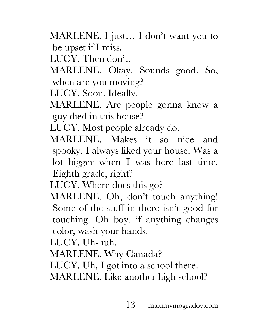MARLENE. I just… I don't want you to be upset if I miss.

LUCY. Then don't.

MARLENE. Okay. Sounds good. So, when are you moving?

LUCY. Soon. Ideally.

MARLENE. Are people gonna know a guy died in this house?

LUCY. Most people already do.

MARLENE. Makes it so nice and spooky. I always liked your house. Was a lot bigger when I was here last time. Eighth grade, right?

LUCY. Where does this go?

MARLENE. Oh, don't touch anything! Some of the stuff in there isn't good for touching. Oh boy, if anything changes color, wash your hands.

LUCY. Uh-huh.

MARLENE. Why Canada?

LUCY. Uh, I got into a school there.

MARLENE. Like another high school?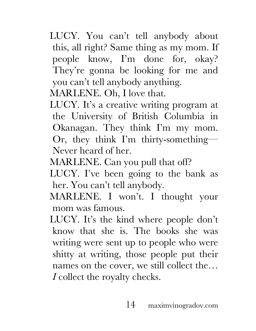LUCY. You can't tell anybody about this, all right? Same thing as my mom. If people know, I'm done for, okay? They're gonna be looking for me and you can't tell anybody anything.

MARLENE. Oh, I love that.

- LUCY. It's a creative writing program at the University of British Columbia in Okanagan. They think I'm my mom. Or, they think I'm thirty-something— Never heard of her.
- MARLENE. Can you pull that off?
- LUCY. I've been going to the bank as her. You can't tell anybody.
- MARLENE. I won't. I thought your mom was famous.
- LUCY. It's the kind where people don't know that she is. The books she was writing were sent up to people who were shitty at writing, those people put their names on the cover, we still collect the… *I* collect the royalty checks.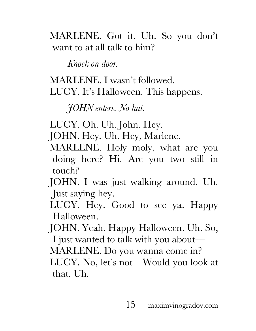MARLENE. Got it. Uh. So you don't want to at all talk to him?

*Knock on door.*

MARLENE. I wasn't followed. LUCY. It's Halloween. This happens.

*JOHN enters. No hat.*

LUCY. Oh. Uh. John. Hey.

JOHN. Hey. Uh. Hey, Marlene.

MARLENE. Holy moly, what are you doing here? Hi. Are you two still in touch?

JOHN. I was just walking around. Uh. Just saying hey.

LUCY. Hey. Good to see ya. Happy Halloween.

JOHN. Yeah. Happy Halloween. Uh. So, I just wanted to talk with you about—

MARLENE. Do you wanna come in?

LUCY. No, let's not—Would you look at that. Uh.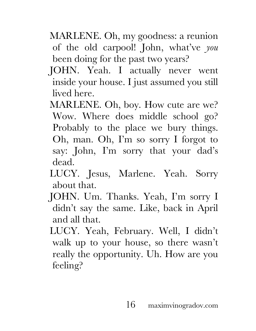- MARLENE. Oh, my goodness: a reunion of the old carpool! John, what've *you*  been doing for the past two years?
- JOHN. Yeah. I actually never went inside your house. I just assumed you still lived here.
- MARLENE. Oh, boy. How cute are we? Wow. Where does middle school go? Probably to the place we bury things. Oh, man. Oh, I'm so sorry I forgot to say: John, I'm sorry that your dad's dead.
- LUCY. Jesus, Marlene. Yeah. Sorry about that.
- JOHN. Um. Thanks. Yeah, I'm sorry I didn't say the same. Like, back in April and all that.
- LUCY. Yeah, February. Well, I didn't walk up to your house, so there wasn't really the opportunity. Uh. How are you feeling?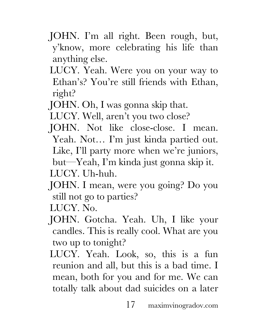- JOHN. I'm all right. Been rough, but, y'know, more celebrating his life than anything else.
- LUCY. Yeah. Were you on your way to Ethan's? You're still friends with Ethan, right?
- JOHN. Oh, I was gonna skip that.
- LUCY. Well, aren't you two close?
- JOHN. Not like close-close. I mean. Yeah. Not… I'm just kinda partied out. Like, I'll party more when we're juniors, but—Yeah, I'm kinda just gonna skip it.
- LUCY. Uh-huh.
- JOHN. I mean, were you going? Do you still not go to parties?
- LUCY. No.
- JOHN. Gotcha. Yeah. Uh, I like your candles. This is really cool. What are you two up to tonight?
- LUCY. Yeah. Look, so, this is a fun reunion and all, but this is a bad time. I mean, both for you and for me. We can totally talk about dad suicides on a later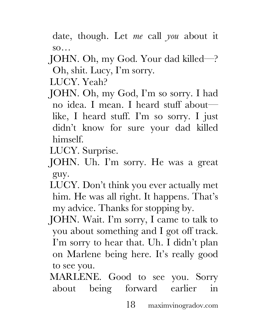date, though. Let *me* call *you* about it so…

JOHN. Oh, my God. Your dad killed—? Oh, shit. Lucy, I'm sorry.

LUCY. Yeah?

JOHN. Oh, my God, I'm so sorry. I had no idea. I mean. I heard stuff about like, I heard stuff. I'm so sorry. I just didn't know for sure your dad killed himself.

LUCY. Surprise.

- JOHN. Uh. I'm sorry. He was a great guy.
- LUCY. Don't think you ever actually met him. He was all right. It happens. That's my advice. Thanks for stopping by.
- JOHN. Wait. I'm sorry, I came to talk to you about something and I got off track. I'm sorry to hear that. Uh. I didn't plan on Marlene being here. It's really good to see you.
- MARLENE. Good to see you. Sorry about being forward earlier in

18 maximvinogradov.com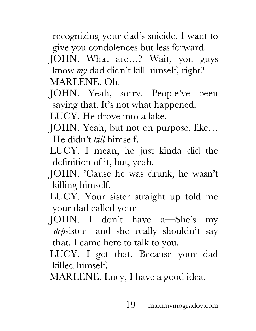recognizing your dad's suicide. I want to give you condolences but less forward.

JOHN. What are…? Wait, you guys know *my* dad didn't kill himself, right? MARLENE. Oh.

JOHN. Yeah, sorry. People've been saying that. It's not what happened.

LUCY. He drove into a lake.

- JOHN. Yeah, but not on purpose, like… He didn't *kill* himself.
- LUCY. I mean, he just kinda did the definition of it, but, yeah.
- JOHN. 'Cause he was drunk, he wasn't killing himself.
- LUCY. Your sister straight up told me your dad called your—
- JOHN. I don't have a—She's my *step*sister—and she really shouldn't say that. I came here to talk to you.
- LUCY. I get that. Because your dad killed himself.
- MARLENE. Lucy, I have a good idea.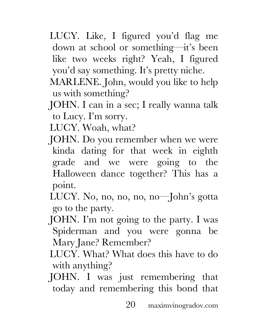- LUCY. Like, I figured you'd flag me down at school or something—it's been like two weeks right? Yeah, I figured you'd say something. It's pretty niche.
- MARLENE. John, would you like to help us with something?
- JOHN. I can in a sec; I really wanna talk to Lucy. I'm sorry.

LUCY. Woah, what?

- JOHN. Do you remember when we were kinda dating for that week in eighth grade and we were going to the Halloween dance together? This has a point.
- LUCY. No, no, no, no, no—John's gotta go to the party.
- JOHN. I'm not going to the party. I was Spiderman and you were gonna be Mary Jane? Remember?
- LUCY. What? What does this have to do with anything?
- JOHN. I was just remembering that today and remembering this bond that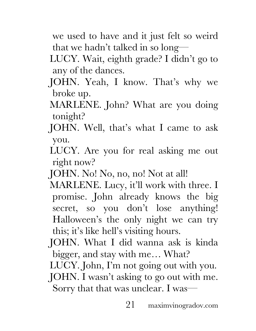we used to have and it just felt so weird that we hadn't talked in so long—

LUCY. Wait, eighth grade? I didn't go to any of the dances.

- JOHN. Yeah, I know. That's why we broke up.
- MARLENE. John? What are you doing tonight?
- JOHN. Well, that's what I came to ask you.
- LUCY. Are you for real asking me out right now?
- JOHN. No! No, no, no! Not at all!
- MARLENE. Lucy, it'll work with three. I promise. John already knows the big secret, so you don't lose anything! Halloween's the only night we can try this; it's like hell's visiting hours.
- JOHN. What I did wanna ask is kinda bigger, and stay with me… What?
- LUCY. John, I'm not going out with you.
- JOHN. I wasn't asking to go out with me. Sorry that that was unclear. I was—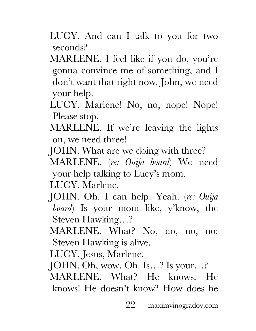LUCY. And can I talk to you for two seconds?

MARLENE. I feel like if you do, you're gonna convince me of something, and I don't want that right now. John, we need your help.

- LUCY. Marlene! No, no, nope! Nope! Please stop.
- MARLENE. If we're leaving the lights on, we need three!
- JOHN. What are we doing with three?
- MARLENE. (*re: Ouija board*) We need your help talking to Lucy's mom.

LUCY. Marlene.

- JOHN. Oh. I can help. Yeah. (*re: Ouija board*) Is your mom like, y'know, the Steven Hawking…?
- MARLENE. What? No, no, no, no: Steven Hawking is alive.
- LUCY. Jesus, Marlene.
- JOHN. Oh, wow. Oh. Is…? Is your…?
- MARLENE. What? He knows. He knows! He doesn't know? How does he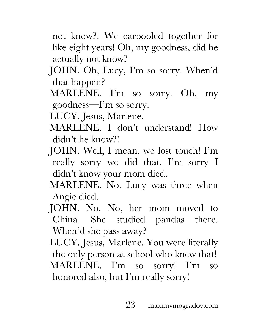not know?! We carpooled together for like eight years! Oh, my goodness, did he actually not know?

- JOHN. Oh, Lucy, I'm so sorry. When'd that happen?
- MARLENE. I'm so sorry. Oh, my goodness—I'm so sorry.

LUCY. Jesus, Marlene.

- MARLENE. I don't understand! How didn't he know?!
- JOHN. Well, I mean, we lost touch! I'm really sorry we did that. I'm sorry I didn't know your mom died.
- MARLENE. No. Lucy was three when Angie died.
- JOHN. No. No, her mom moved to China. She studied pandas there. When'd she pass away?

LUCY. Jesus, Marlene. You were literally the only person at school who knew that! MARLENE. I'm so sorry! I'm so honored also, but I'm really sorry!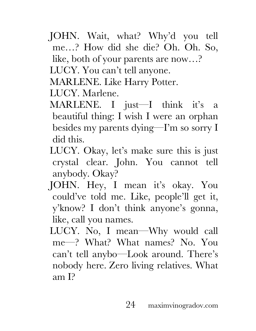JOHN. Wait, what? Why'd you tell me…? How did she die? Oh. Oh. So,

like, both of your parents are now…?

LUCY. You can't tell anyone.

MARLENE. Like Harry Potter.

LUCY. Marlene.

- MARLENE. I just—I think it's a beautiful thing: I wish I were an orphan besides my parents dying—I'm so sorry I did this.
- LUCY. Okay, let's make sure this is just crystal clear. John. You cannot tell anybody. Okay?
- JOHN. Hey, I mean it's okay. You could've told me. Like, people'll get it, y'know? I don't think anyone's gonna, like, call you names.
- LUCY. No, I mean—Why would call me—? What? What names? No. You can't tell anybo—Look around. There's nobody here. Zero living relatives. What am I?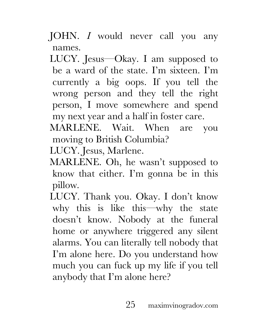- JOHN. *I* would never call you any names.
- LUCY. Jesus—Okay. I am supposed to be a ward of the state. I'm sixteen. I'm currently a big oops. If you tell the wrong person and they tell the right person, I move somewhere and spend my next year and a half in foster care.
- MARLENE. Wait. When are you moving to British Columbia?

LUCY. Jesus, Marlene.

- MARLENE. Oh, he wasn't supposed to know that either. I'm gonna be in this pillow.
- LUCY. Thank you. Okay. I don't know why this is like this—why the state doesn't know. Nobody at the funeral home or anywhere triggered any silent alarms. You can literally tell nobody that I'm alone here. Do you understand how much you can fuck up my life if you tell anybody that I'm alone here?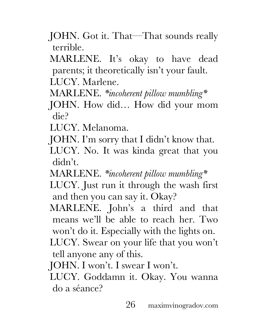JOHN. Got it. That—That sounds really terrible.

MARLENE. It's okay to have dead parents; it theoretically isn't your fault. LUCY. Marlene.

- MARLENE. *\*incoherent pillow mumbling\**
- JOHN. How did… How did your mom die?

LUCY. Melanoma.

- JOHN. I'm sorry that I didn't know that.
- LUCY. No. It was kinda great that you didn't.
- MARLENE. *\*incoherent pillow mumbling\** LUCY. Just run it through the wash first and then you can say it. Okay?
- MARLENE. John's a third and that means we'll be able to reach her. Two won't do it. Especially with the lights on.
- LUCY. Swear on your life that you won't tell anyone any of this.

JOHN. I won't. I swear I won't.

LUCY. Goddamn it. Okay. You wanna do a séance?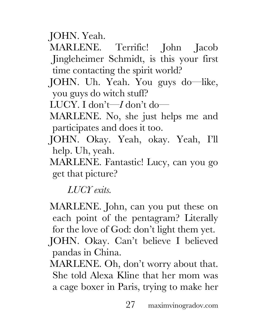JOHN. Yeah.

MARLENE. Terrific! John Jacob Jingleheimer Schmidt, is this your first time contacting the spirit world?

- JOHN. Uh. Yeah. You guys do—like, you guys do witch stuff?
- LUCY. I don't—*I* don't do—
- MARLENE. No, she just helps me and participates and does it too.
- JOHN. Okay. Yeah, okay. Yeah, I'll help. Uh, yeah.
- MARLENE. Fantastic! Lucy, can you go get that picture?

*LUCY exits.*

- MARLENE. John, can you put these on each point of the pentagram? Literally for the love of God: don't light them yet. JOHN. Okay. Can't believe I believed pandas in China.
- MARLENE. Oh, don't worry about that. She told Alexa Kline that her mom was a cage boxer in Paris, trying to make her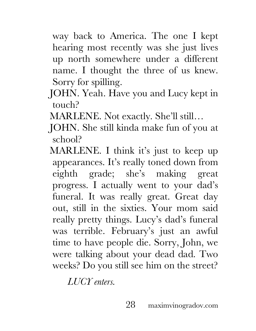way back to America. The one I kept hearing most recently was she just lives up north somewhere under a different name. I thought the three of us knew. Sorry for spilling.

- JOHN. Yeah. Have you and Lucy kept in touch?
- MARLENE. Not exactly. She'll still…
- JOHN. She still kinda make fun of you at school?
- MARLENE. I think it's just to keep up appearances. It's really toned down from eighth grade; she's making great progress. I actually went to your dad's funeral. It was really great. Great day out, still in the sixties. Your mom said really pretty things. Lucy's dad's funeral was terrible. February's just an awful time to have people die. Sorry, John, we were talking about your dead dad. Two weeks? Do you still see him on the street?

*LUCY enters.*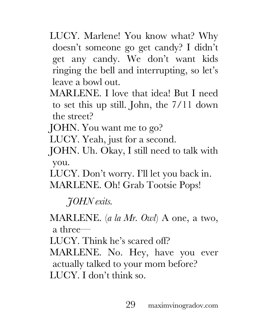- LUCY. Marlene! You know what? Why doesn't someone go get candy? I didn't get any candy. We don't want kids ringing the bell and interrupting, so let's leave a bowl out.
- MARLENE. I love that idea! But I need to set this up still. John, the 7/11 down the street?
- JOHN. You want me to go?
- LUCY. Yeah, just for a second.
- JOHN. Uh. Okay, I still need to talk with you.
- LUCY. Don't worry. I'll let you back in. MARLENE. Oh! Grab Tootsie Pops!

*JOHN exits.*

MARLENE. (*a la Mr. Owl*) A one, a two, a three—

LUCY. Think he's scared off?

MARLENE. No. Hey, have you ever actually talked to your mom before? LUCY. I don't think so.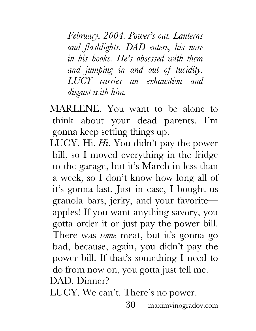*February, 2004. Power's out. Lanterns and flashlights. DAD enters, his nose in his books. He's obsessed with them and jumping in and out of lucidity. LUCY carries an exhaustion and disgust with him.*

MARLENE. You want to be alone to think about your dead parents. I'm gonna keep setting things up.

LUCY. Hi. *Hi*. You didn't pay the power bill, so I moved everything in the fridge to the garage, but it's March in less than a week, so I don't know how long all of it's gonna last. Just in case, I bought us granola bars, jerky, and your favorite apples! If you want anything savory, you gotta order it or just pay the power bill. There was *some* meat, but it's gonna go bad, because, again, you didn't pay the power bill. If that's something I need to do from now on, you gotta just tell me. DAD. Dinner?

LUCY. We can't. There's no power.

30 maximvinogradov.com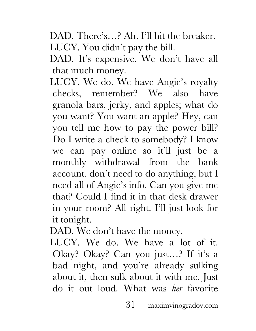DAD. There's...? Ah. I'll hit the breaker. LUCY. You didn't pay the bill.

DAD. It's expensive. We don't have all that much money.

LUCY. We do. We have Angie's royalty checks, remember? We also have granola bars, jerky, and apples; what do you want? You want an apple? Hey, can you tell me how to pay the power bill? Do I write a check to somebody? I know we can pay online so it'll just be a monthly withdrawal from the bank account, don't need to do anything, but I need all of Angie's info. Can you give me that? Could I find it in that desk drawer in your room? All right. I'll just look for it tonight.

DAD. We don't have the money.

LUCY. We do. We have a lot of it. Okay? Okay? Can you just…? If it's a bad night, and you're already sulking about it, then sulk about it with me. Just do it out loud. What was *her* favorite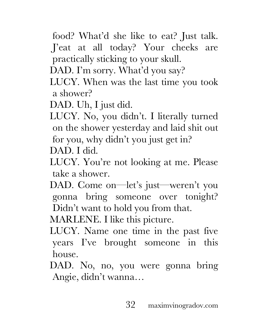- food? What'd she like to eat? Just talk. J'eat at all today? Your cheeks are practically sticking to your skull.
- DAD. I'm sorry. What'd you say?
- LUCY. When was the last time you took a shower?
- DAD. Uh, I just did.
- LUCY. No, you didn't. I literally turned on the shower yesterday and laid shit out for you, why didn't you just get in?

DAD. I did.

- LUCY. You're not looking at me. Please take a shower.
- DAD. Come on—let's just—weren't you gonna bring someone over tonight? Didn't want to hold you from that.

MARLENE. I like this picture.

- LUCY. Name one time in the past five years I've brought someone in this house.
- DAD. No, no, you were gonna bring Angie, didn't wanna…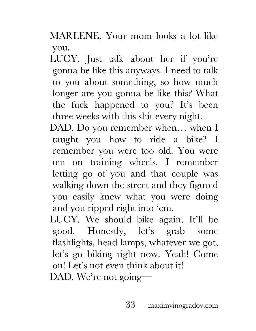MARLENE. Your mom looks a lot like you.

LUCY. Just talk about her if you're gonna be like this anyways. I need to talk to you about something, so how much longer are you gonna be like this? What the fuck happened to you? It's been three weeks with this shit every night.

DAD. Do you remember when… when I taught you how to ride a bike? I remember you were too old. You were ten on training wheels. I remember letting go of you and that couple was walking down the street and they figured you easily knew what you were doing and you ripped right into 'em.

LUCY. We should bike again. It'll be good. Honestly, let's grab some flashlights, head lamps, whatever we got, let's go biking right now. Yeah! Come on! Let's not even think about it! DAD. We're not going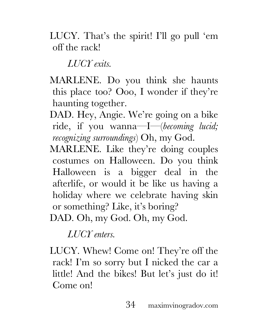LUCY. That's the spirit! I'll go pull 'em off the rack!

*LUCY exits.*

MARLENE. Do you think she haunts this place too? Ooo, I wonder if they're haunting together.

DAD. Hey, Angie. We're going on a bike ride, if you wanna—I—(*becoming lucid; recognizing surroundings*) Oh, my God.

MARLENE. Like they're doing couples costumes on Halloween. Do you think Halloween is a bigger deal in the afterlife, or would it be like us having a holiday where we celebrate having skin or something? Like, it's boring? DAD. Oh, my God. Oh, my God.

*LUCY enters.*

LUCY. Whew! Come on! They're off the rack! I'm so sorry but I nicked the car a little! And the bikes! But let's just do it! Come on!